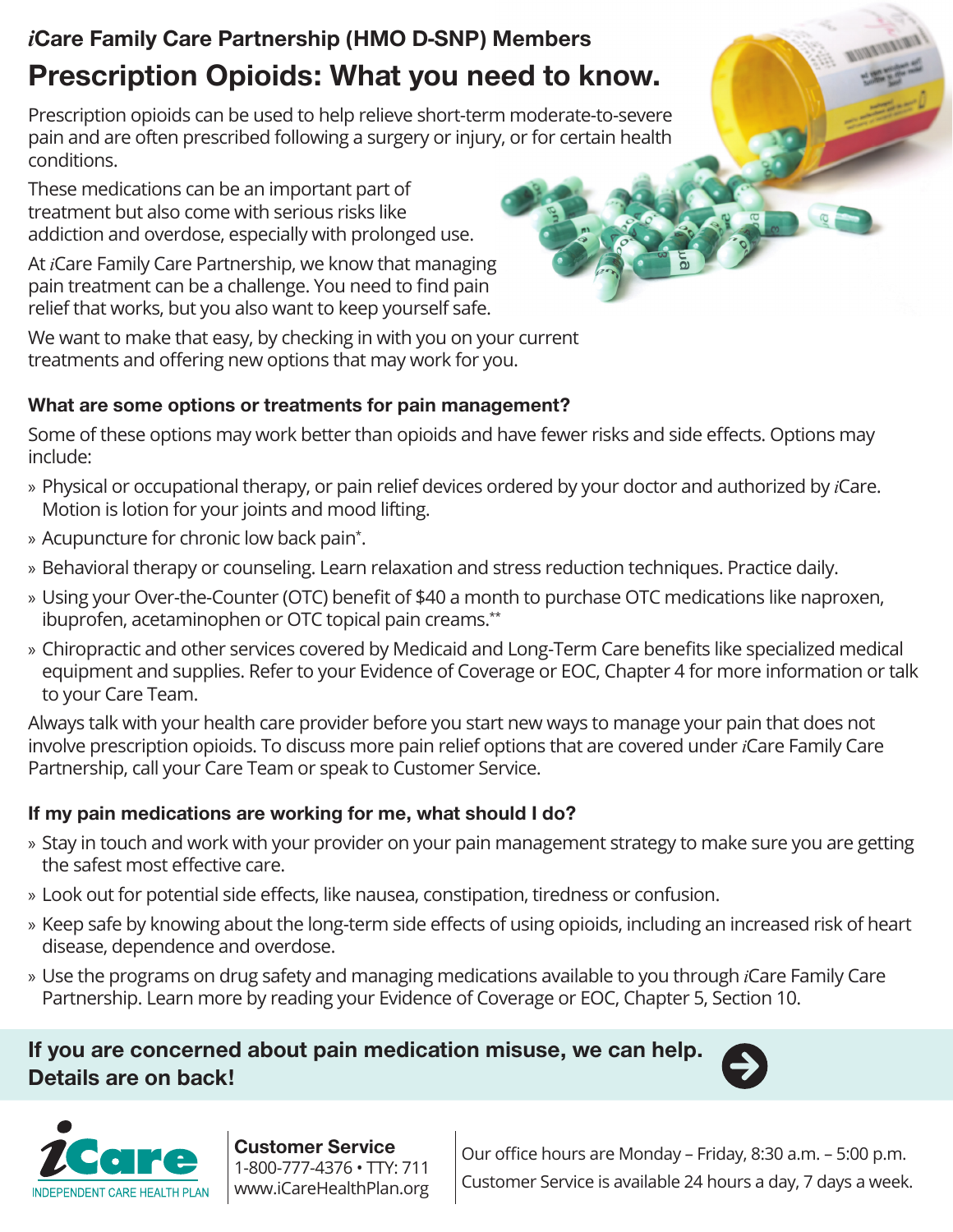# *i*Care Family Care Partnership (HMO D-SNP) Members Prescription Opioids: What you need to know.

Prescription opioids can be used to help relieve short-term moderate-to-severe pain and are often prescribed following a surgery or injury, or for certain health conditions.

These medications can be an important part of treatment but also come with serious risks like addiction and overdose, especially with prolonged use.

At *i*Care Family Care Partnership, we know that managing pain treatment can be a challenge. You need to find pain relief that works, but you also want to keep yourself safe.

We want to make that easy, by checking in with you on your current treatments and offering new options that may work for you.

#### What are some options or treatments for pain management?

Some of these options may work better than opioids and have fewer risks and side effects. Options may include:

- » Physical or occupational therapy, or pain relief devices ordered by your doctor and authorized by *i*Care. Motion is lotion for your joints and mood lifting.
- » Acupuncture for chronic low back pain\* .
- » Behavioral therapy or counseling. Learn relaxation and stress reduction techniques. Practice daily.
- » Using your Over-the-Counter (OTC) benefit of \$40 a month to purchase OTC medications like naproxen, ibuprofen, acetaminophen or OTC topical pain creams.\*\*
- » Chiropractic and other services covered by Medicaid and Long-Term Care benefits like specialized medical equipment and supplies. Refer to your Evidence of Coverage or EOC, Chapter 4 for more information or talk to your Care Team.

Always talk with your health care provider before you start new ways to manage your pain that does not involve prescription opioids. To discuss more pain relief options that are covered under *i*Care Family Care Partnership, call your Care Team or speak to Customer Service.

#### If my pain medications are working for me, what should I do?

- » Stay in touch and work with your provider on your pain management strategy to make sure you are getting the safest most effective care.
- » Look out for potential side effects, like nausea, constipation, tiredness or confusion.
- » Keep safe by knowing about the long-term side effects of using opioids, including an increased risk of heart disease, dependence and overdose.
- » Use the programs on drug safety and managing medications available to you through *i*Care Family Care Partnership. Learn more by reading your Evidence of Coverage or EOC, Chapter 5, Section 10.

## If you are concerned about pain medication misuse, we can help. Details are on back!





Customer Service 1-800-777-4376 • TTY: 711 www.iCareHealthPlan.org

Our office hours are Monday – Friday, 8:30 a.m. – 5:00 p.m. Customer Service is available 24 hours a day, 7 days a week.